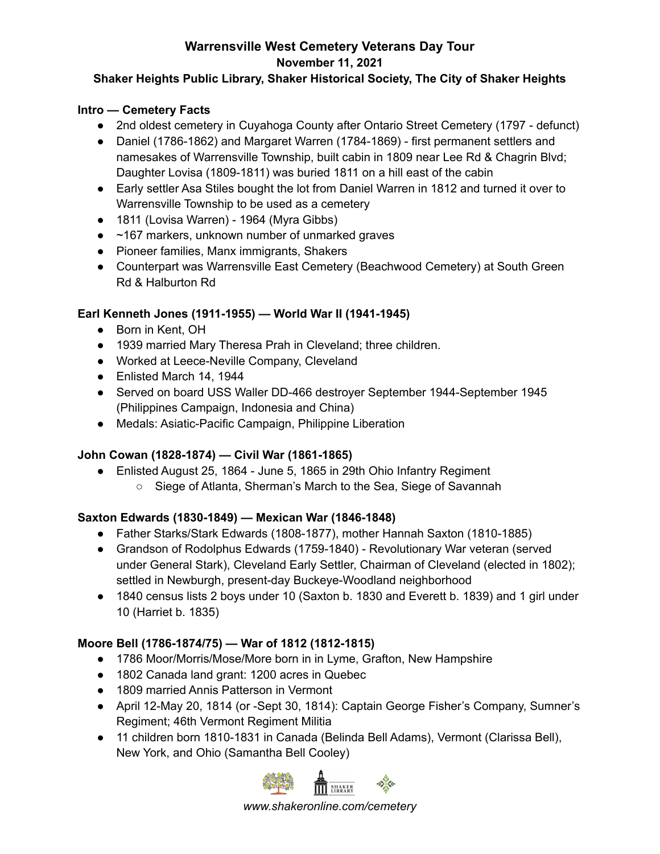# **Warrensville West Cemetery Veterans Day Tour**

**November 11, 2021**

#### **Shaker Heights Public Library, Shaker Historical Society, The City of Shaker Heights**

#### **Intro — Cemetery Facts**

- 2nd oldest cemetery in Cuyahoga County after Ontario Street Cemetery (1797 defunct)
- Daniel (1786-1862) and Margaret Warren (1784-1869) first permanent settlers and namesakes of Warrensville Township, built cabin in 1809 near Lee Rd & Chagrin Blvd; Daughter Lovisa (1809-1811) was buried 1811 on a hill east of the cabin
- Early settler Asa Stiles bought the lot from Daniel Warren in 1812 and turned it over to Warrensville Township to be used as a cemetery
- 1811 (Lovisa Warren) 1964 (Myra Gibbs)
- ~167 markers, unknown number of unmarked graves
- Pioneer families, Manx immigrants, Shakers
- Counterpart was Warrensville East Cemetery (Beachwood Cemetery) at South Green Rd & Halburton Rd

#### **Earl Kenneth Jones (1911-1955) — World War II (1941-1945)**

- Born in Kent, OH
- 1939 married Mary Theresa Prah in Cleveland; three children.
- Worked at Leece-Neville Company, Cleveland
- Enlisted March 14, 1944
- Served on board USS Waller DD-466 destroyer September 1944-September 1945 (Philippines Campaign, Indonesia and China)
- Medals: Asiatic-Pacific Campaign, Philippine Liberation

# **John Cowan (1828-1874) — Civil War (1861-1865)**

- Enlisted August 25, 1864 June 5, 1865 in 29th Ohio Infantry Regiment
	- Siege of Atlanta, Sherman's March to the Sea, Siege of Savannah

# **Saxton Edwards (1830-1849) — Mexican War (1846-1848)**

- Father Starks/Stark Edwards (1808-1877), mother Hannah Saxton (1810-1885)
- Grandson of Rodolphus Edwards (1759-1840) Revolutionary War veteran (served under General Stark), Cleveland Early Settler, Chairman of Cleveland (elected in 1802); settled in Newburgh, present-day Buckeye-Woodland neighborhood
- 1840 census lists 2 boys under 10 (Saxton b. 1830 and Everett b. 1839) and 1 girl under 10 (Harriet b. 1835)

# **Moore Bell (1786-1874/75) — War of 1812 (1812-1815)**

- 1786 Moor/Morris/Mose/More born in in Lyme, Grafton, New Hampshire
- 1802 Canada land grant: 1200 acres in Quebec
- 1809 married Annis Patterson in Vermont
- April 12-May 20, 1814 (or -Sept 30, 1814): Captain George Fisher's Company, Sumner's Regiment; 46th Vermont Regiment Militia
- 11 children born 1810-1831 in Canada (Belinda Bell Adams), Vermont (Clarissa Bell), New York, and Ohio (Samantha Bell Cooley)



*www.shakeronline.com/cemetery*